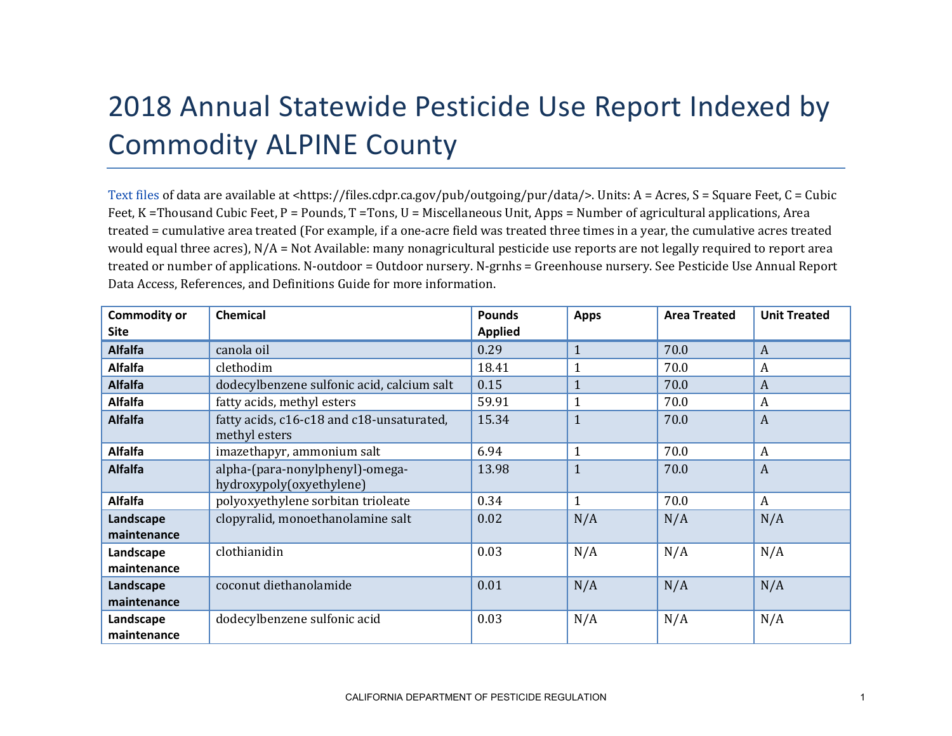## 2018 Annual Statewide Pesticide Use Report Indexed by Commodity ALPINE County

[Text files](https://files.cdpr.ca.gov/pub/outgoing/pur/data/) of data are available at <https://files.cdpr.ca.gov/pub/outgoing/pur/data/>. Units: A = Acres, S = Square Feet, C = Cubic Feet, K = Thousand Cubic Feet, P = Pounds, T = Tons, U = Miscellaneous Unit, Apps = Number of agricultural applications, Area treated = cumulative area treated (For example, if a one-acre field was treated three times in a year, the cumulative acres treated would equal three acres), N/A = Not Available: many nonagricultural pesticide use reports are not legally required to report area treated or number of applications. N-outdoor = Outdoor nursery. N-grnhs = Greenhouse nursery. See Pesticide Use Annual Report Data Access, References, and Definitions Guide for more information.

| <b>Commodity or</b><br><b>Site</b> | <b>Chemical</b>                                             | <b>Pounds</b><br><b>Applied</b> | <b>Apps</b>  | <b>Area Treated</b> | <b>Unit Treated</b> |
|------------------------------------|-------------------------------------------------------------|---------------------------------|--------------|---------------------|---------------------|
| <b>Alfalfa</b>                     | canola oil                                                  | 0.29                            | $\mathbf{1}$ | 70.0                | A                   |
| <b>Alfalfa</b>                     | clethodim                                                   | 18.41                           |              | 70.0                | A                   |
| <b>Alfalfa</b>                     | dodecylbenzene sulfonic acid, calcium salt                  | 0.15                            |              | 70.0                | A                   |
| <b>Alfalfa</b>                     | fatty acids, methyl esters                                  | 59.91                           |              | 70.0                | A                   |
| <b>Alfalfa</b>                     | fatty acids, c16-c18 and c18-unsaturated,<br>methyl esters  | 15.34                           | $\mathbf{1}$ | 70.0                | A                   |
| <b>Alfalfa</b>                     | imazethapyr, ammonium salt                                  | 6.94                            | $\mathbf{1}$ | 70.0                | A                   |
| <b>Alfalfa</b>                     | alpha-(para-nonylphenyl)-omega-<br>hydroxypoly(oxyethylene) | 13.98                           | $\mathbf{1}$ | 70.0                | $\overline{A}$      |
| <b>Alfalfa</b>                     | polyoxyethylene sorbitan trioleate                          | 0.34                            | $\mathbf{1}$ | 70.0                | $\boldsymbol{A}$    |
| Landscape                          | clopyralid, monoethanolamine salt                           | 0.02                            | N/A          | N/A                 | N/A                 |
| maintenance                        |                                                             |                                 |              |                     |                     |
| Landscape<br>maintenance           | clothianidin                                                | 0.03                            | N/A          | N/A                 | N/A                 |
| Landscape<br>maintenance           | coconut diethanolamide                                      | 0.01                            | N/A          | N/A                 | N/A                 |
| Landscape<br>maintenance           | dodecylbenzene sulfonic acid                                | 0.03                            | N/A          | N/A                 | N/A                 |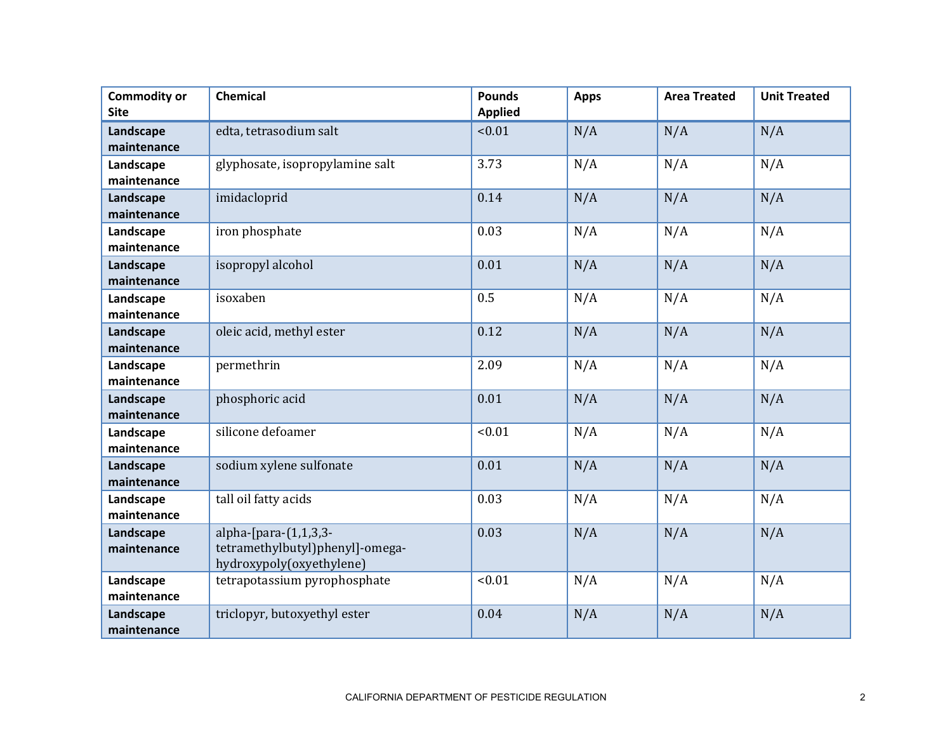| <b>Commodity or</b><br><b>Site</b> | Chemical                                                                                | <b>Pounds</b><br><b>Applied</b> | <b>Apps</b> | <b>Area Treated</b> | <b>Unit Treated</b> |
|------------------------------------|-----------------------------------------------------------------------------------------|---------------------------------|-------------|---------------------|---------------------|
| Landscape<br>maintenance           | edta, tetrasodium salt                                                                  | < 0.01                          | N/A         | N/A                 | N/A                 |
| Landscape<br>maintenance           | glyphosate, isopropylamine salt                                                         | 3.73                            | N/A         | N/A                 | N/A                 |
| Landscape<br>maintenance           | imidacloprid                                                                            | 0.14                            | N/A         | N/A                 | N/A                 |
| Landscape<br>maintenance           | iron phosphate                                                                          | 0.03                            | N/A         | N/A                 | N/A                 |
| Landscape<br>maintenance           | isopropyl alcohol                                                                       | 0.01                            | N/A         | N/A                 | N/A                 |
| Landscape<br>maintenance           | isoxaben                                                                                | 0.5                             | N/A         | N/A                 | N/A                 |
| Landscape<br>maintenance           | oleic acid, methyl ester                                                                | 0.12                            | N/A         | N/A                 | N/A                 |
| Landscape<br>maintenance           | permethrin                                                                              | 2.09                            | N/A         | N/A                 | N/A                 |
| Landscape<br>maintenance           | phosphoric acid                                                                         | 0.01                            | N/A         | N/A                 | N/A                 |
| Landscape<br>maintenance           | silicone defoamer                                                                       | < 0.01                          | N/A         | N/A                 | N/A                 |
| Landscape<br>maintenance           | sodium xylene sulfonate                                                                 | 0.01                            | N/A         | N/A                 | N/A                 |
| Landscape<br>maintenance           | tall oil fatty acids                                                                    | 0.03                            | N/A         | N/A                 | N/A                 |
| Landscape<br>maintenance           | alpha- $[para-(1,1,3,3-$<br>tetramethylbutyl)phenyl]-omega-<br>hydroxypoly(oxyethylene) | 0.03                            | N/A         | N/A                 | N/A                 |
| Landscape<br>maintenance           | tetrapotassium pyrophosphate                                                            | < 0.01                          | N/A         | N/A                 | N/A                 |
| Landscape<br>maintenance           | triclopyr, butoxyethyl ester                                                            | 0.04                            | N/A         | N/A                 | N/A                 |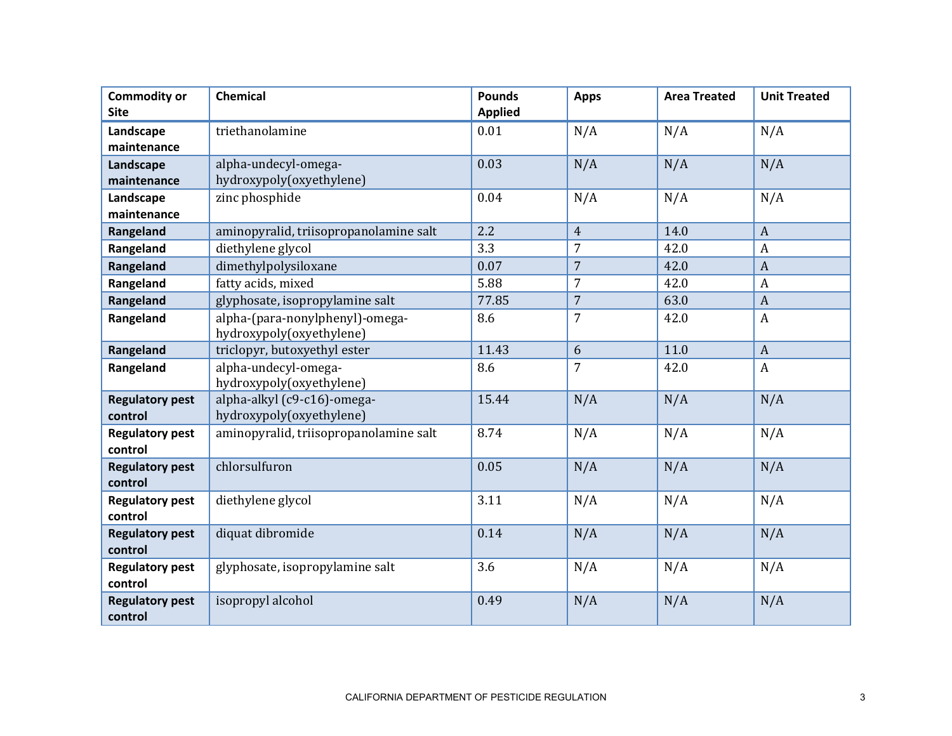| <b>Commodity or</b><br><b>Site</b> | Chemical                                                    | <b>Pounds</b><br><b>Applied</b> | <b>Apps</b>    | <b>Area Treated</b> | <b>Unit Treated</b> |
|------------------------------------|-------------------------------------------------------------|---------------------------------|----------------|---------------------|---------------------|
| Landscape<br>maintenance           | triethanolamine                                             | 0.01                            | N/A            | N/A                 | N/A                 |
| Landscape<br>maintenance           | alpha-undecyl-omega-<br>hydroxypoly(oxyethylene)            | 0.03                            | N/A            | N/A                 | N/A                 |
| Landscape<br>maintenance           | zinc phosphide                                              | 0.04                            | N/A            | N/A                 | N/A                 |
| Rangeland                          | aminopyralid, triisopropanolamine salt                      | 2.2                             | $\overline{4}$ | 14.0                | $\boldsymbol{A}$    |
| Rangeland                          | diethylene glycol                                           | 3.3                             | $\overline{7}$ | 42.0                | $\boldsymbol{A}$    |
| Rangeland                          | dimethylpolysiloxane                                        | 0.07                            | $\overline{7}$ | 42.0                | $\boldsymbol{A}$    |
| Rangeland                          | fatty acids, mixed                                          | 5.88                            | 7              | 42.0                | A                   |
| Rangeland                          | glyphosate, isopropylamine salt                             | 77.85                           | $\overline{7}$ | 63.0                | $\overline{A}$      |
| Rangeland                          | alpha-(para-nonylphenyl)-omega-<br>hydroxypoly(oxyethylene) | 8.6                             | $\overline{7}$ | 42.0                | $\boldsymbol{A}$    |
| Rangeland                          | triclopyr, butoxyethyl ester                                | 11.43                           | 6              | 11.0                | $\boldsymbol{A}$    |
| Rangeland                          | alpha-undecyl-omega-<br>hydroxypoly(oxyethylene)            | 8.6                             | $\overline{7}$ | 42.0                | A                   |
| <b>Regulatory pest</b><br>control  | alpha-alkyl (c9-c16)-omega-<br>hydroxypoly(oxyethylene)     | 15.44                           | N/A            | N/A                 | N/A                 |
| <b>Regulatory pest</b><br>control  | aminopyralid, triisopropanolamine salt                      | 8.74                            | N/A            | N/A                 | N/A                 |
| <b>Regulatory pest</b><br>control  | chlorsulfuron                                               | 0.05                            | N/A            | N/A                 | N/A                 |
| <b>Regulatory pest</b><br>control  | diethylene glycol                                           | 3.11                            | N/A            | N/A                 | N/A                 |
| <b>Regulatory pest</b><br>control  | diquat dibromide                                            | 0.14                            | N/A            | N/A                 | N/A                 |
| <b>Regulatory pest</b><br>control  | glyphosate, isopropylamine salt                             | 3.6                             | N/A            | N/A                 | N/A                 |
| <b>Regulatory pest</b><br>control  | isopropyl alcohol                                           | 0.49                            | N/A            | N/A                 | N/A                 |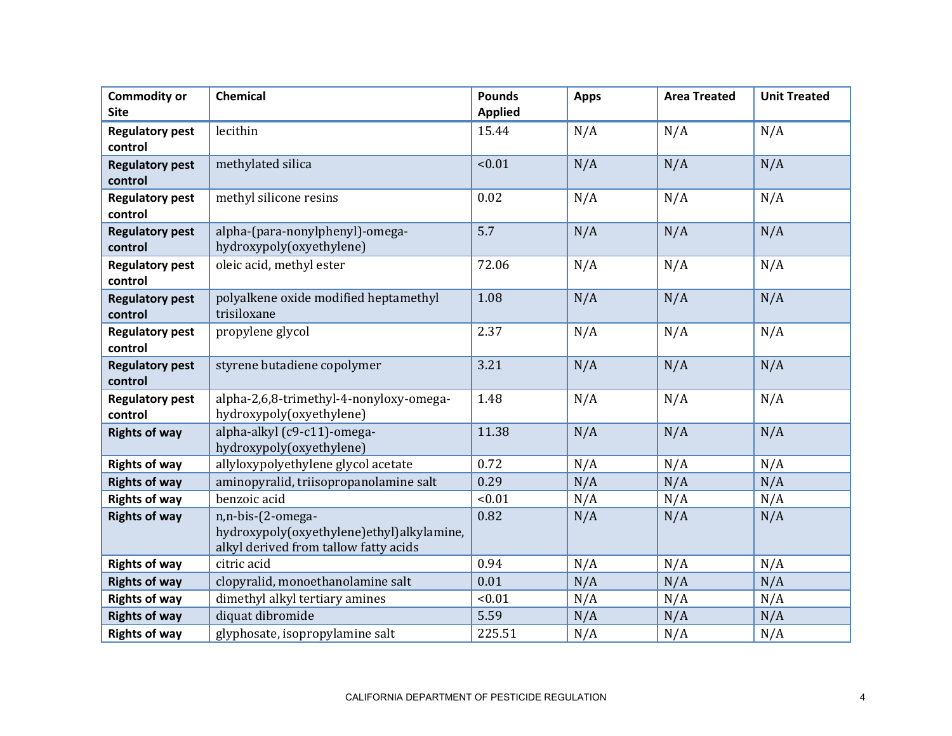| <b>Commodity or</b><br><b>Site</b> | <b>Chemical</b>                                                                                         | <b>Pounds</b><br><b>Applied</b> | <b>Apps</b> | <b>Area Treated</b> | <b>Unit Treated</b> |
|------------------------------------|---------------------------------------------------------------------------------------------------------|---------------------------------|-------------|---------------------|---------------------|
| <b>Regulatory pest</b><br>control  | lecithin                                                                                                | 15.44                           | N/A         | N/A                 | N/A                 |
| <b>Regulatory pest</b><br>control  | methylated silica                                                                                       | < 0.01                          | N/A         | N/A                 | N/A                 |
| <b>Regulatory pest</b><br>control  | methyl silicone resins                                                                                  | 0.02                            | N/A         | N/A                 | N/A                 |
| <b>Regulatory pest</b><br>control  | alpha-(para-nonylphenyl)-omega-<br>hydroxypoly(oxyethylene)                                             | 5.7                             | N/A         | N/A                 | N/A                 |
| <b>Regulatory pest</b><br>control  | oleic acid, methyl ester                                                                                | 72.06                           | N/A         | N/A                 | N/A                 |
| <b>Regulatory pest</b><br>control  | polyalkene oxide modified heptamethyl<br>trisiloxane                                                    | 1.08                            | N/A         | N/A                 | N/A                 |
| <b>Regulatory pest</b><br>control  | propylene glycol                                                                                        | 2.37                            | N/A         | N/A                 | N/A                 |
| <b>Regulatory pest</b><br>control  | styrene butadiene copolymer                                                                             | 3.21                            | N/A         | N/A                 | N/A                 |
| <b>Regulatory pest</b><br>control  | alpha-2,6,8-trimethyl-4-nonyloxy-omega-<br>hydroxypoly(oxyethylene)                                     | 1.48                            | N/A         | N/A                 | N/A                 |
| <b>Rights of way</b>               | alpha-alkyl (c9-c11)-omega-<br>hydroxypoly(oxyethylene)                                                 | 11.38                           | N/A         | N/A                 | N/A                 |
| <b>Rights of way</b>               | allyloxypolyethylene glycol acetate                                                                     | 0.72                            | N/A         | N/A                 | N/A                 |
| <b>Rights of way</b>               | aminopyralid, triisopropanolamine salt                                                                  | 0.29                            | N/A         | N/A                 | N/A                 |
| <b>Rights of way</b>               | benzoic acid                                                                                            | < 0.01                          | N/A         | N/A                 | N/A                 |
| <b>Rights of way</b>               | n,n-bis-(2-omega-<br>hydroxypoly(oxyethylene)ethyl)alkylamine,<br>alkyl derived from tallow fatty acids | 0.82                            | N/A         | N/A                 | N/A                 |
| <b>Rights of way</b>               | citric acid                                                                                             | 0.94                            | N/A         | N/A                 | N/A                 |
| <b>Rights of way</b>               | clopyralid, monoethanolamine salt                                                                       | 0.01                            | N/A         | N/A                 | N/A                 |
| <b>Rights of way</b>               | dimethyl alkyl tertiary amines                                                                          | < 0.01                          | N/A         | N/A                 | N/A                 |
| <b>Rights of way</b>               | diquat dibromide                                                                                        | 5.59                            | N/A         | N/A                 | N/A                 |
| <b>Rights of way</b>               | glyphosate, isopropylamine salt                                                                         | 225.51                          | N/A         | N/A                 | N/A                 |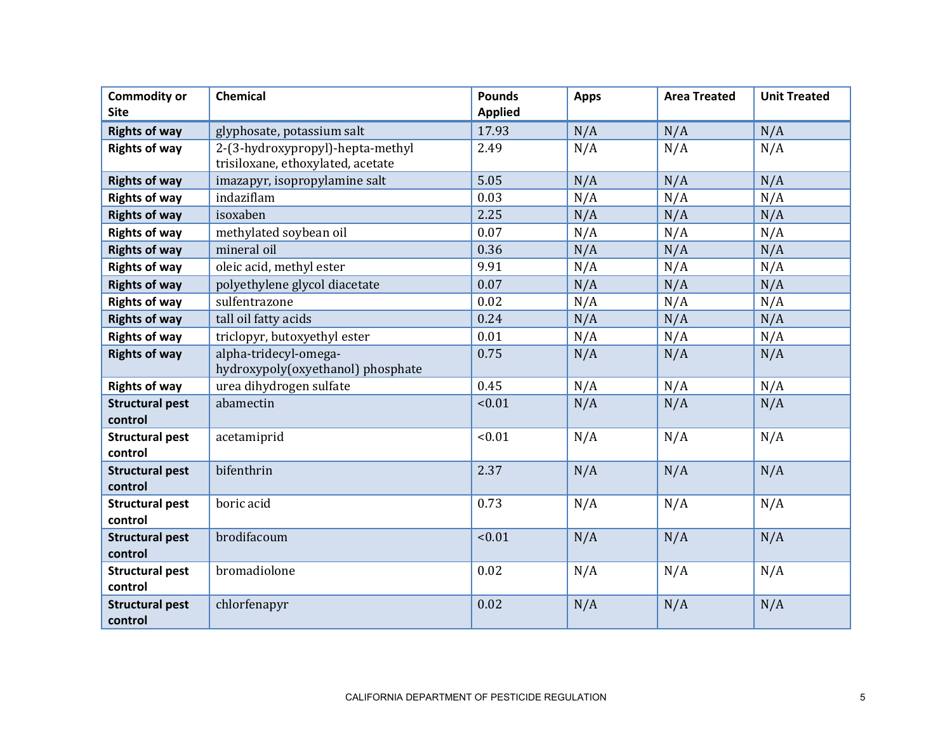| <b>Commodity or</b><br><b>Site</b> | Chemical                                                   | <b>Pounds</b><br><b>Applied</b> | <b>Apps</b> | <b>Area Treated</b> | <b>Unit Treated</b> |
|------------------------------------|------------------------------------------------------------|---------------------------------|-------------|---------------------|---------------------|
| <b>Rights of way</b>               | glyphosate, potassium salt                                 | 17.93                           | N/A         | N/A                 | N/A                 |
| <b>Rights of way</b>               | 2-(3-hydroxypropyl)-hepta-methyl                           | 2.49                            | N/A         | N/A                 | N/A                 |
|                                    | trisiloxane, ethoxylated, acetate                          |                                 |             |                     |                     |
| <b>Rights of way</b>               | imazapyr, isopropylamine salt                              | 5.05                            | N/A         | N/A                 | N/A                 |
| <b>Rights of way</b>               | indaziflam                                                 | 0.03                            | N/A         | N/A                 | N/A                 |
| <b>Rights of way</b>               | isoxaben                                                   | 2.25                            | N/A         | N/A                 | N/A                 |
| <b>Rights of way</b>               | methylated soybean oil                                     | 0.07                            | N/A         | N/A                 | N/A                 |
| <b>Rights of way</b>               | mineral oil                                                | 0.36                            | N/A         | N/A                 | N/A                 |
| <b>Rights of way</b>               | oleic acid, methyl ester                                   | 9.91                            | N/A         | N/A                 | N/A                 |
| <b>Rights of way</b>               | polyethylene glycol diacetate                              | 0.07                            | N/A         | N/A                 | N/A                 |
| <b>Rights of way</b>               | sulfentrazone                                              | 0.02                            | N/A         | N/A                 | N/A                 |
| <b>Rights of way</b>               | tall oil fatty acids                                       | 0.24                            | N/A         | N/A                 | N/A                 |
| <b>Rights of way</b>               | triclopyr, butoxyethyl ester                               | 0.01                            | N/A         | N/A                 | N/A                 |
| <b>Rights of way</b>               | alpha-tridecyl-omega-<br>hydroxypoly(oxyethanol) phosphate | 0.75                            | N/A         | N/A                 | N/A                 |
| <b>Rights of way</b>               | urea dihydrogen sulfate                                    | 0.45                            | N/A         | N/A                 | N/A                 |
| <b>Structural pest</b><br>control  | abamectin                                                  | < 0.01                          | N/A         | N/A                 | N/A                 |
| <b>Structural pest</b><br>control  | acetamiprid                                                | < 0.01                          | N/A         | N/A                 | N/A                 |
| <b>Structural pest</b><br>control  | bifenthrin                                                 | 2.37                            | N/A         | N/A                 | N/A                 |
| <b>Structural pest</b><br>control  | boric acid                                                 | 0.73                            | N/A         | N/A                 | N/A                 |
| <b>Structural pest</b><br>control  | brodifacoum                                                | < 0.01                          | N/A         | N/A                 | N/A                 |
| <b>Structural pest</b><br>control  | bromadiolone                                               | 0.02                            | N/A         | N/A                 | N/A                 |
| <b>Structural pest</b><br>control  | chlorfenapyr                                               | 0.02                            | N/A         | N/A                 | N/A                 |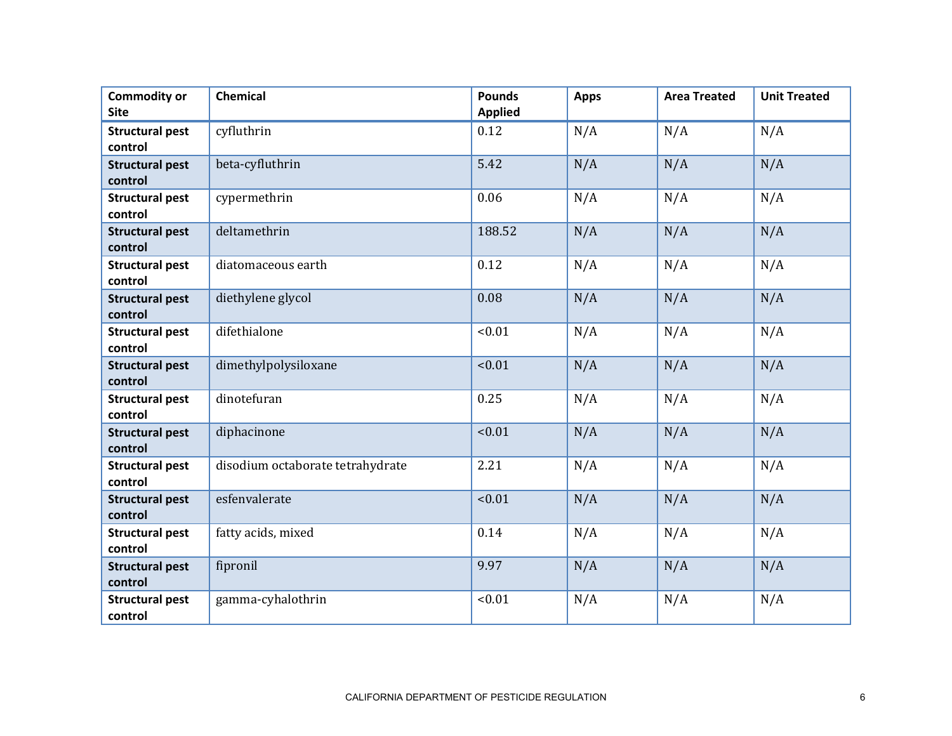| <b>Commodity or</b><br><b>Site</b> | <b>Chemical</b>                  | <b>Pounds</b><br><b>Applied</b> | <b>Apps</b> | <b>Area Treated</b> | <b>Unit Treated</b> |
|------------------------------------|----------------------------------|---------------------------------|-------------|---------------------|---------------------|
| <b>Structural pest</b><br>control  | cyfluthrin                       | 0.12                            | N/A         | N/A                 | N/A                 |
| <b>Structural pest</b><br>control  | beta-cyfluthrin                  | 5.42                            | N/A         | N/A                 | N/A                 |
| <b>Structural pest</b><br>control  | cypermethrin                     | 0.06                            | N/A         | N/A                 | N/A                 |
| <b>Structural pest</b><br>control  | deltamethrin                     | 188.52                          | N/A         | N/A                 | N/A                 |
| <b>Structural pest</b><br>control  | diatomaceous earth               | 0.12                            | N/A         | N/A                 | N/A                 |
| <b>Structural pest</b><br>control  | diethylene glycol                | 0.08                            | N/A         | N/A                 | N/A                 |
| <b>Structural pest</b><br>control  | difethialone                     | < 0.01                          | N/A         | N/A                 | N/A                 |
| <b>Structural pest</b><br>control  | dimethylpolysiloxane             | < 0.01                          | N/A         | N/A                 | N/A                 |
| <b>Structural pest</b><br>control  | dinotefuran                      | 0.25                            | N/A         | N/A                 | N/A                 |
| <b>Structural pest</b><br>control  | diphacinone                      | < 0.01                          | N/A         | N/A                 | N/A                 |
| <b>Structural pest</b><br>control  | disodium octaborate tetrahydrate | 2.21                            | N/A         | N/A                 | N/A                 |
| <b>Structural pest</b><br>control  | esfenvalerate                    | < 0.01                          | N/A         | N/A                 | N/A                 |
| <b>Structural pest</b><br>control  | fatty acids, mixed               | 0.14                            | N/A         | N/A                 | N/A                 |
| <b>Structural pest</b><br>control  | fipronil                         | 9.97                            | N/A         | N/A                 | N/A                 |
| <b>Structural pest</b><br>control  | gamma-cyhalothrin                | < 0.01                          | N/A         | N/A                 | N/A                 |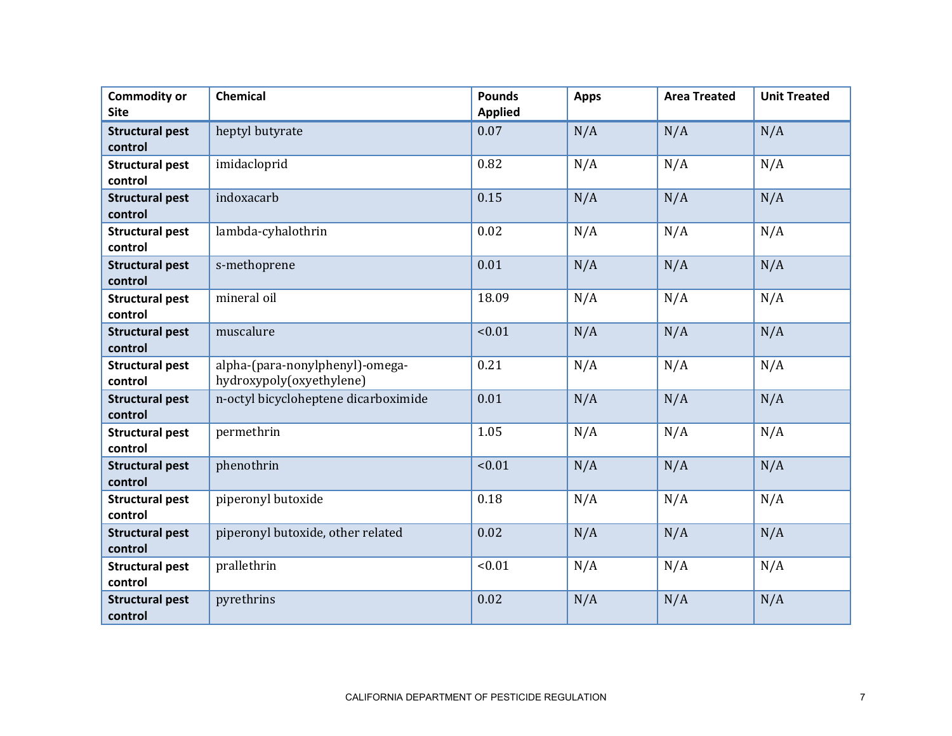| <b>Commodity or</b><br><b>Site</b> | <b>Chemical</b>                                             | <b>Pounds</b><br><b>Applied</b> | <b>Apps</b> | <b>Area Treated</b> | <b>Unit Treated</b> |
|------------------------------------|-------------------------------------------------------------|---------------------------------|-------------|---------------------|---------------------|
| <b>Structural pest</b><br>control  | heptyl butyrate                                             | 0.07                            | N/A         | N/A                 | N/A                 |
| <b>Structural pest</b><br>control  | imidacloprid                                                | 0.82                            | N/A         | N/A                 | N/A                 |
| <b>Structural pest</b><br>control  | indoxacarb                                                  | 0.15                            | N/A         | N/A                 | N/A                 |
| <b>Structural pest</b><br>control  | lambda-cyhalothrin                                          | 0.02                            | N/A         | N/A                 | N/A                 |
| <b>Structural pest</b><br>control  | s-methoprene                                                | 0.01                            | N/A         | N/A                 | N/A                 |
| <b>Structural pest</b><br>control  | mineral oil                                                 | 18.09                           | N/A         | N/A                 | N/A                 |
| <b>Structural pest</b><br>control  | muscalure                                                   | < 0.01                          | N/A         | N/A                 | N/A                 |
| <b>Structural pest</b><br>control  | alpha-(para-nonylphenyl)-omega-<br>hydroxypoly(oxyethylene) | 0.21                            | N/A         | N/A                 | N/A                 |
| <b>Structural pest</b><br>control  | n-octyl bicycloheptene dicarboximide                        | 0.01                            | N/A         | N/A                 | N/A                 |
| <b>Structural pest</b><br>control  | permethrin                                                  | 1.05                            | N/A         | N/A                 | N/A                 |
| <b>Structural pest</b><br>control  | phenothrin                                                  | < 0.01                          | N/A         | N/A                 | N/A                 |
| <b>Structural pest</b><br>control  | piperonyl butoxide                                          | 0.18                            | N/A         | N/A                 | N/A                 |
| <b>Structural pest</b><br>control  | piperonyl butoxide, other related                           | 0.02                            | N/A         | N/A                 | N/A                 |
| <b>Structural pest</b><br>control  | prallethrin                                                 | < 0.01                          | N/A         | N/A                 | N/A                 |
| <b>Structural pest</b><br>control  | pyrethrins                                                  | 0.02                            | N/A         | N/A                 | N/A                 |